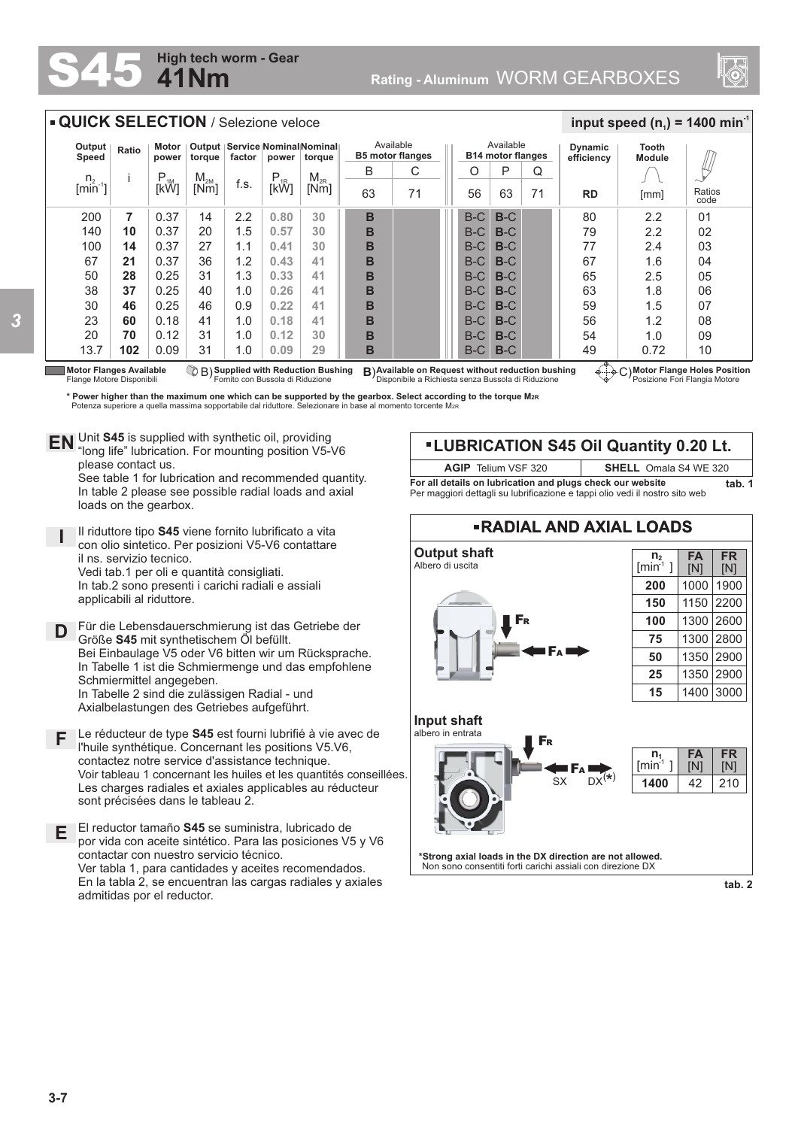## Rating - Aluminum WORM GEARBOXES



| <b>QUICK SELECTION</b> / Selezione veloce                   |                                                                         |                |                                                                              |      |          |                                                                                                                      |                                      |    |  |                                       |       |                                                                      | input speed $(n_1)$ = 1400 min <sup>-1</sup> |      |                |
|-------------------------------------------------------------|-------------------------------------------------------------------------|----------------|------------------------------------------------------------------------------|------|----------|----------------------------------------------------------------------------------------------------------------------|--------------------------------------|----|--|---------------------------------------|-------|----------------------------------------------------------------------|----------------------------------------------|------|----------------|
| Output<br>Speed                                             | Ratio                                                                   | Motor<br>power | Output   Service   Nominal Nominal   <br>factor<br>torque<br>torque<br>power |      |          |                                                                                                                      | Available<br><b>B5 motor flanges</b> |    |  | Available<br><b>B14 motor flanges</b> |       |                                                                      | Tooth<br><b>Module</b>                       |      |                |
|                                                             |                                                                         | $P_{1M}$       | $M_{2M}$                                                                     |      | $P_{1R}$ | $M_{2R}$                                                                                                             | B                                    | C  |  | O                                     | P     | Q                                                                    |                                              |      |                |
| $\begin{array}{c} n_2\\ [min^{-1}] \end{array}$             |                                                                         | [kW]           | [Nm]                                                                         | f.s. |          | [Nm]                                                                                                                 | 63                                   | 71 |  | 56                                    | 63    | 71                                                                   | <b>RD</b>                                    | [mm] | Ratios<br>code |
| 200                                                         | 7                                                                       | 0.37           | 14                                                                           | 2.2  | 0.80     | 30                                                                                                                   | B                                    |    |  | $B-C$                                 | $B-C$ |                                                                      | 80                                           | 2.2  | 0 <sub>1</sub> |
| 140                                                         | 10                                                                      | 0.37           | 20                                                                           | 1.5  | 0.57     | 30                                                                                                                   | B                                    |    |  | $B-C$                                 | $B-C$ |                                                                      | 79                                           | 2.2  | 02             |
| 100                                                         | 14                                                                      | 0.37           | 27                                                                           | 1.1  | 0.41     | 30                                                                                                                   | B                                    |    |  | $B-C$                                 | $B-C$ |                                                                      | 77                                           | 2.4  | 03             |
| 67                                                          | 21                                                                      | 0.37           | 36                                                                           | 1.2  | 0.43     | 41                                                                                                                   | B                                    |    |  | $B-C$                                 | $B-C$ |                                                                      | 67                                           | 1.6  | 04             |
| 50                                                          | 28                                                                      | 0.25           | 31                                                                           | 1.3  | 0.33     | 41                                                                                                                   | B                                    |    |  | $B-C$                                 | $B-C$ |                                                                      | 65                                           | 2.5  | 05             |
| 38                                                          | 37                                                                      | 0.25           | 40                                                                           | 1.0  | 0.26     | 41                                                                                                                   | B                                    |    |  | $B-C$                                 | $B-C$ |                                                                      | 63                                           | 1.8  | 06             |
| 30                                                          | 46                                                                      | 0.25           | 46                                                                           | 0.9  | 0.22     | 41                                                                                                                   | В                                    |    |  | $B-C$                                 | $B-C$ |                                                                      | 59                                           | 1.5  | 07             |
| 23                                                          | 60                                                                      | 0.18           | 41                                                                           | 1.0  | 0.18     | 41                                                                                                                   | B                                    |    |  | $B-C$                                 | $B-C$ |                                                                      | 56                                           | 1.2  | 08             |
| 20                                                          | 70                                                                      | 0.12           | 31                                                                           | 1.0  | 0.12     | 30                                                                                                                   | в                                    |    |  | $B-C$                                 | $B-C$ |                                                                      | 54                                           | 1.0  | 09             |
| 13.7                                                        | 102                                                                     | 0.09           | 31                                                                           | 1.0  | 0.09     | 29                                                                                                                   | в                                    |    |  | B-C                                   | $B-C$ |                                                                      | 49                                           | 0.72 | 10             |
| <b>Motor Flanges Available</b><br>Flange Motore Disponibili | CB) Supplied with Reduction Bushing<br>Fornito con Bussola di Riduzione |                |                                                                              |      |          | B) Available on Request without reduction bushing<br><sup>I</sup> Disponibile a Richiesta senza Bussola di Riduzione |                                      |    |  |                                       |       | ⊕ ∴ o ∩ Motor Flange Holes Position<br>Posizione Fori Flangia Motore |                                              |      |                |

\* Power higher than the maximum one which can be supported by the gearbox. Select according to the torque M2R\*<br>Potenza superiore a quella massima sopportabile dal riduttore. Selezionare in base al momento torcente M2R\*

Unit **S45** is supplied with synthetic oil, providing **EN** Unit S45 is supplied with synthetic oil, providing<br>"long life" lubrication. For mounting position V5-V6 please contact us. See table 1 for lubrication and recommended quantity.

**41Nm**

**High tech worm - Gear**

In table 2 please see possible radial loads and axial loads on the gearbox.

**I** Il riduttore tipo **S45** viene fornito lubrificato a vita con olio sintetico. Per posizioni V5-V6 contattare il ns. servizio tecnico. Vedi tab.1 per oli e quantità consigliati. In tab.2 sono presenti i carichi radiali e assiali applicabili al riduttore.

**D** Für die Lebensdauerschmierung ist das Getriebe der Größe **S45** mit synthetischem Öl befüllt. Bei Einbaulage V5 oder V6 bitten wir um Rücksprache. In Tabelle 1 ist die Schmiermenge und das empfohlene Schmiermittel angegeben. In Tabelle 2 sind die zulässigen Radial - und Axialbelastungen des Getriebes aufgeführt.

- **F** Le réducteur de type **S45** est fourni lubrifié à vie avec de l'huile synthétique. Concernant les positions V5.V6, contactez notre service d'assistance technique. Voir tableau 1 concernant les huiles et les quantités conseillées. Les charges radiales et axiales applicables au réducteur sont précisées dans le tableau 2.
- **E** El reductor tamaño **S45** se suministra, lubricado de por vida con aceite sintético. Para las posiciones V5 y V6 contactar con nuestro servicio técnico. Ver tabla 1, para cantidades y aceites recomendados. En la tabla 2, se encuentran las cargas radiales y axiales admitidas por el reductor.

## **LUBRICATION S45 Oil Quantity 0.20 Lt.**

**For all details on lubrication and plugs check our website <b>tab. 1** Per maggiori dettagli su lubrificazione e tappi olio vedi il nostro sito web **AGIP** Telium VSF 320 **SHELL** Omala S4 WE 320

**RADIAL AND AXIAL LOADS Output shaft** Albero di uscita **\*Strong axial loads in the DX direction are not allowed.** Non sono consentiti forti carichi assiali con direzione DX **Input shaft** albero in entrata  $S_X$   $DX^{(*)}$ F<sup>A</sup> F<sup>R</sup> F<sup>R</sup> F<sup>A</sup> 210 **FR** [N] **FA** [N] 42  $\overline{n_1}$  $[min^1]$ **1400 FR** [N] **FA** [N] **n 2**  $[min^1]$ **200 150 100 75 50 25 15** 1900 2200 2600 2800 1300 2900 3000 2900 1000 1150 1300 1350 1400 1350

**tab. 2**